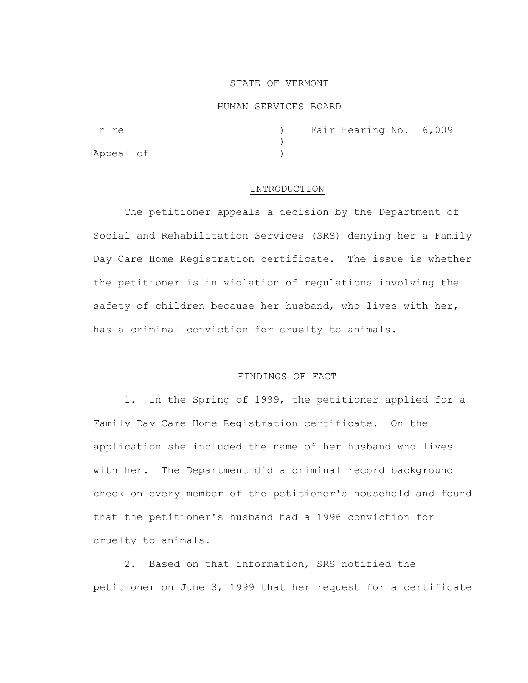### STATE OF VERMONT

#### HUMAN SERVICES BOARD

| In re     |  | Fair Hearing No. 16,009 |  |
|-----------|--|-------------------------|--|
|           |  |                         |  |
| Appeal of |  |                         |  |

### INTRODUCTION

The petitioner appeals a decision by the Department of Social and Rehabilitation Services (SRS) denying her a Family Day Care Home Registration certificate. The issue is whether the petitioner is in violation of regulations involving the safety of children because her husband, who lives with her, has a criminal conviction for cruelty to animals.

## FINDINGS OF FACT

1. In the Spring of 1999, the petitioner applied for a Family Day Care Home Registration certificate. On the application she included the name of her husband who lives with her. The Department did a criminal record background check on every member of the petitioner's household and found that the petitioner's husband had a 1996 conviction for cruelty to animals.

2. Based on that information, SRS notified the petitioner on June 3, 1999 that her request for a certificate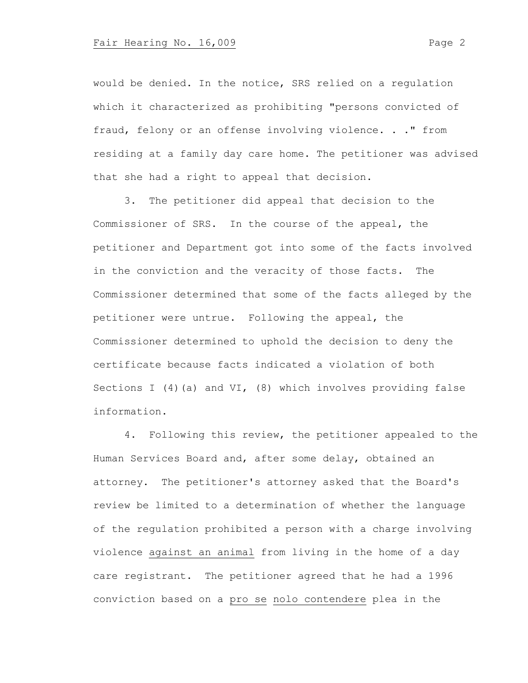would be denied. In the notice, SRS relied on a regulation which it characterized as prohibiting "persons convicted of fraud, felony or an offense involving violence. . ." from residing at a family day care home. The petitioner was advised that she had a right to appeal that decision.

3. The petitioner did appeal that decision to the Commissioner of SRS. In the course of the appeal, the petitioner and Department got into some of the facts involved in the conviction and the veracity of those facts. The Commissioner determined that some of the facts alleged by the petitioner were untrue. Following the appeal, the Commissioner determined to uphold the decision to deny the certificate because facts indicated a violation of both Sections I (4) (a) and VI, (8) which involves providing false information.

4. Following this review, the petitioner appealed to the Human Services Board and, after some delay, obtained an attorney. The petitioner's attorney asked that the Board's review be limited to a determination of whether the language of the regulation prohibited a person with a charge involving violence against an animal from living in the home of a day care registrant. The petitioner agreed that he had a 1996 conviction based on a pro se nolo contendere plea in the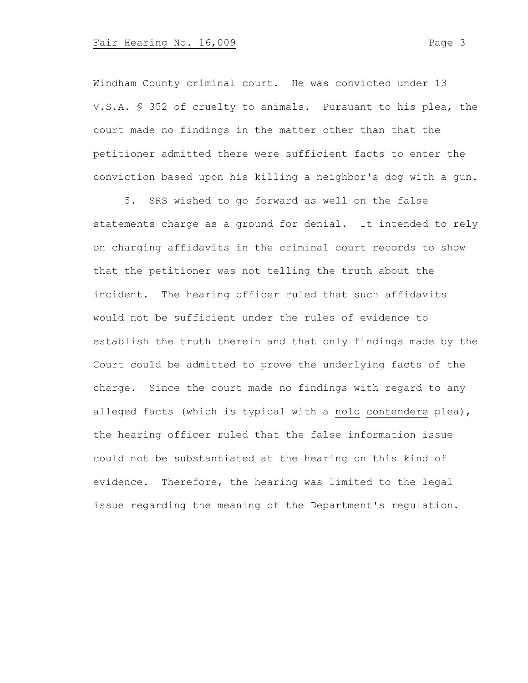Windham County criminal court. He was convicted under 13 V.S.A. § 352 of cruelty to animals. Pursuant to his plea, the court made no findings in the matter other than that the petitioner admitted there were sufficient facts to enter the conviction based upon his killing a neighbor's dog with a gun.

5. SRS wished to go forward as well on the false statements charge as a ground for denial. It intended to rely on charging affidavits in the criminal court records to show that the petitioner was not telling the truth about the incident. The hearing officer ruled that such affidavits would not be sufficient under the rules of evidence to establish the truth therein and that only findings made by the Court could be admitted to prove the underlying facts of the charge. Since the court made no findings with regard to any alleged facts (which is typical with a nolo contendere plea), the hearing officer ruled that the false information issue could not be substantiated at the hearing on this kind of evidence. Therefore, the hearing was limited to the legal issue regarding the meaning of the Department's regulation.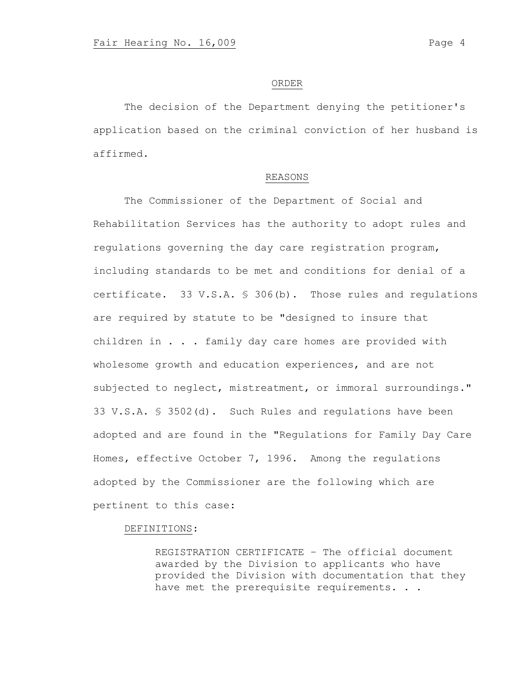#### ORDER

The decision of the Department denying the petitioner's application based on the criminal conviction of her husband is affirmed.

#### REASONS

The Commissioner of the Department of Social and Rehabilitation Services has the authority to adopt rules and regulations governing the day care registration program, including standards to be met and conditions for denial of a certificate. 33 V.S.A. § 306(b). Those rules and regulations are required by statute to be "designed to insure that children in . . . family day care homes are provided with wholesome growth and education experiences, and are not subjected to neglect, mistreatment, or immoral surroundings." 33 V.S.A. § 3502(d). Such Rules and regulations have been adopted and are found in the "Regulations for Family Day Care Homes, effective October 7, 1996. Among the regulations adopted by the Commissioner are the following which are pertinent to this case:

### DEFINITIONS:

REGISTRATION CERTIFICATE – The official document awarded by the Division to applicants who have provided the Division with documentation that they have met the prerequisite requirements. . .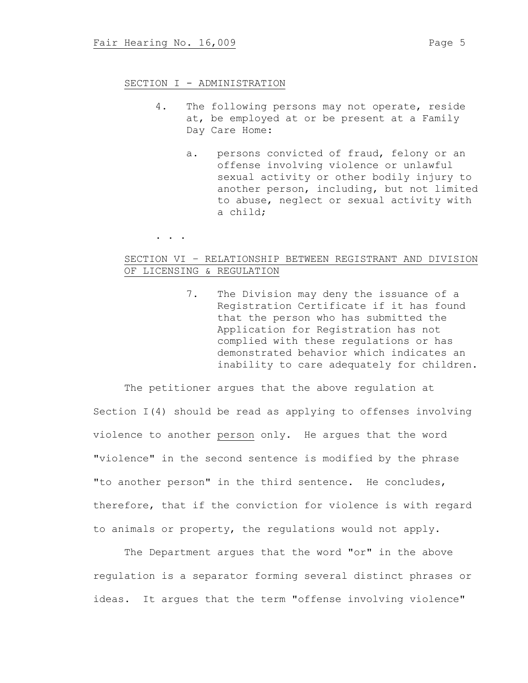## SECTION I - ADMINISTRATION

- 4. The following persons may not operate, reside at, be employed at or be present at a Family Day Care Home:
	- a. persons convicted of fraud, felony or an offense involving violence or unlawful sexual activity or other bodily injury to another person, including, but not limited to abuse, neglect or sexual activity with a child;

. . .

# SECTION VI – RELATIONSHIP BETWEEN REGISTRANT AND DIVISION OF LICENSING & REGULATION

7. The Division may deny the issuance of a Registration Certificate if it has found that the person who has submitted the Application for Registration has not complied with these regulations or has demonstrated behavior which indicates an inability to care adequately for children.

The petitioner argues that the above regulation at Section I(4) should be read as applying to offenses involving violence to another person only. He argues that the word "violence" in the second sentence is modified by the phrase "to another person" in the third sentence. He concludes, therefore, that if the conviction for violence is with regard to animals or property, the regulations would not apply.

The Department argues that the word "or" in the above regulation is a separator forming several distinct phrases or ideas. It argues that the term "offense involving violence"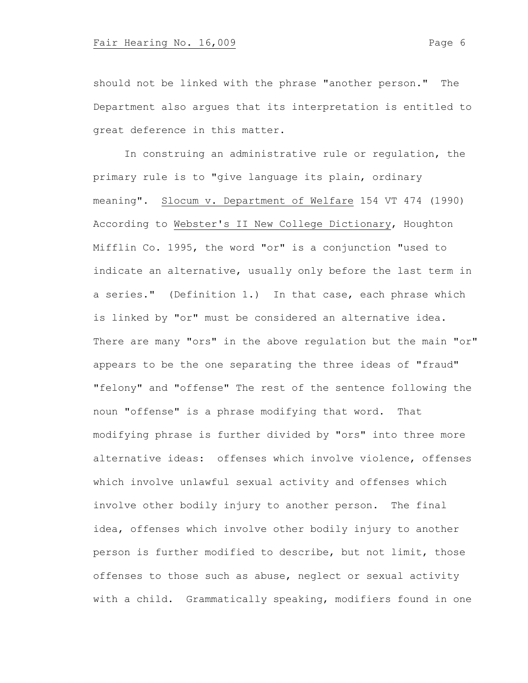should not be linked with the phrase "another person." The Department also argues that its interpretation is entitled to great deference in this matter.

In construing an administrative rule or regulation, the primary rule is to "give language its plain, ordinary meaning". Slocum v. Department of Welfare 154 VT 474 (1990) According to Webster's II New College Dictionary, Houghton Mifflin Co. 1995, the word "or" is a conjunction "used to indicate an alternative, usually only before the last term in a series." (Definition 1.) In that case, each phrase which is linked by "or" must be considered an alternative idea. There are many "ors" in the above regulation but the main "or" appears to be the one separating the three ideas of "fraud" "felony" and "offense" The rest of the sentence following the noun "offense" is a phrase modifying that word. That modifying phrase is further divided by "ors" into three more alternative ideas: offenses which involve violence, offenses which involve unlawful sexual activity and offenses which involve other bodily injury to another person. The final idea, offenses which involve other bodily injury to another person is further modified to describe, but not limit, those offenses to those such as abuse, neglect or sexual activity with a child. Grammatically speaking, modifiers found in one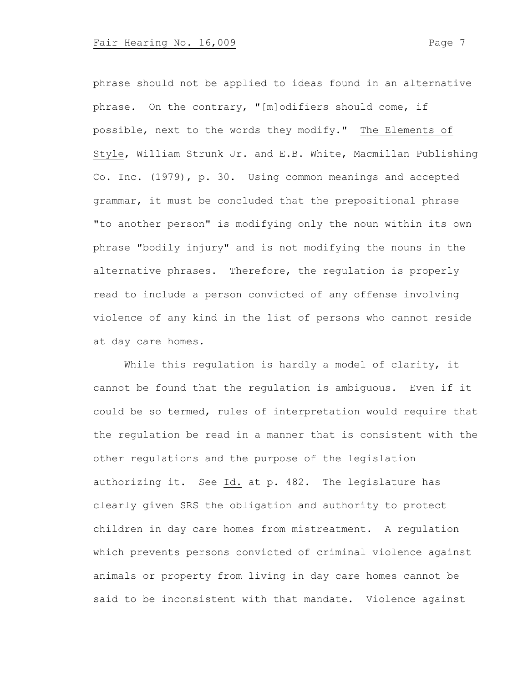phrase should not be applied to ideas found in an alternative phrase. On the contrary, "[m]odifiers should come, if possible, next to the words they modify." The Elements of Style, William Strunk Jr. and E.B. White, Macmillan Publishing Co. Inc. (1979), p. 30. Using common meanings and accepted grammar, it must be concluded that the prepositional phrase "to another person" is modifying only the noun within its own phrase "bodily injury" and is not modifying the nouns in the alternative phrases. Therefore, the regulation is properly read to include a person convicted of any offense involving violence of any kind in the list of persons who cannot reside at day care homes.

While this regulation is hardly a model of clarity, it cannot be found that the regulation is ambiguous. Even if it could be so termed, rules of interpretation would require that the regulation be read in a manner that is consistent with the other regulations and the purpose of the legislation authorizing it. See Id. at p. 482. The legislature has clearly given SRS the obligation and authority to protect children in day care homes from mistreatment. A regulation which prevents persons convicted of criminal violence against animals or property from living in day care homes cannot be said to be inconsistent with that mandate. Violence against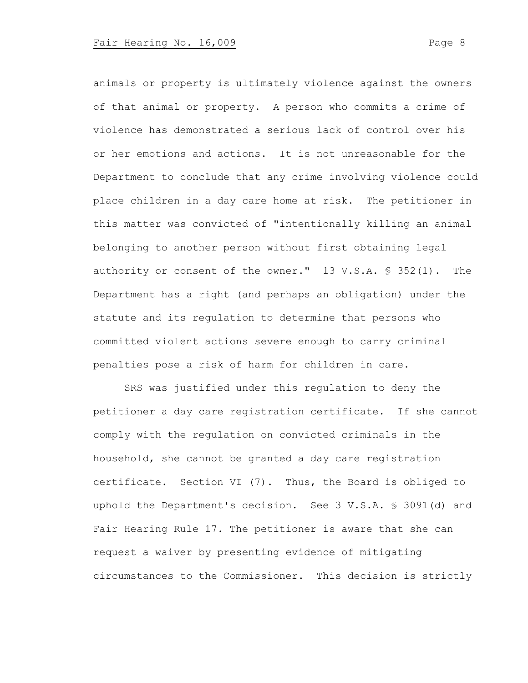animals or property is ultimately violence against the owners of that animal or property. A person who commits a crime of violence has demonstrated a serious lack of control over his or her emotions and actions. It is not unreasonable for the Department to conclude that any crime involving violence could place children in a day care home at risk. The petitioner in this matter was convicted of "intentionally killing an animal belonging to another person without first obtaining legal authority or consent of the owner." 13 V.S.A. § 352(1). The Department has a right (and perhaps an obligation) under the statute and its regulation to determine that persons who committed violent actions severe enough to carry criminal penalties pose a risk of harm for children in care.

SRS was justified under this regulation to deny the petitioner a day care registration certificate. If she cannot comply with the regulation on convicted criminals in the household, she cannot be granted a day care registration certificate. Section VI (7). Thus, the Board is obliged to uphold the Department's decision. See 3 V.S.A. § 3091(d) and Fair Hearing Rule 17. The petitioner is aware that she can request a waiver by presenting evidence of mitigating circumstances to the Commissioner. This decision is strictly